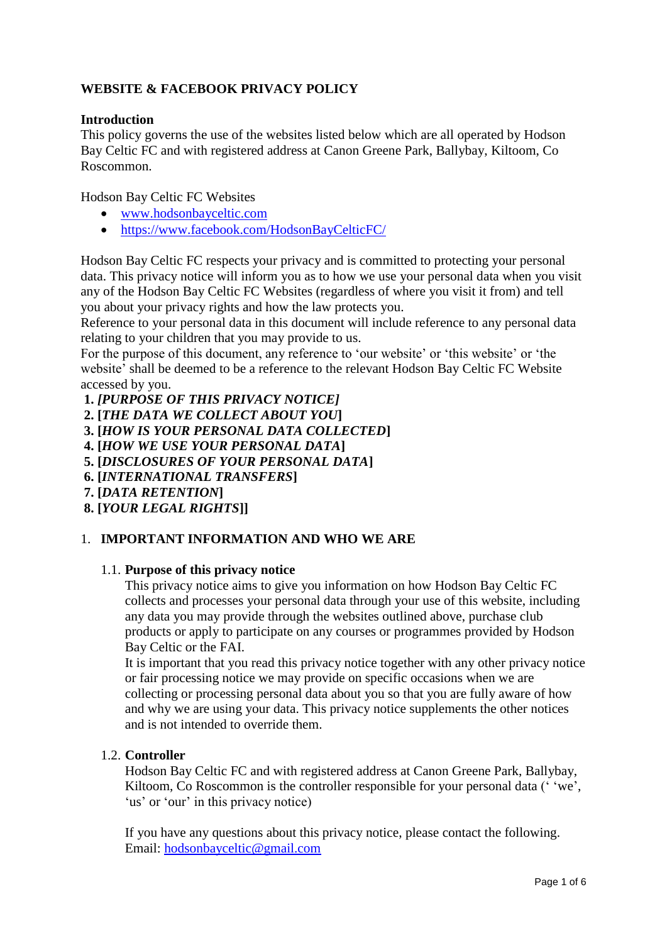# **WEBSITE & FACEBOOK PRIVACY POLICY**

### **Introduction**

This policy governs the use of the websites listed below which are all operated by Hodson Bay Celtic FC and with registered address at Canon Greene Park, Ballybay, Kiltoom, Co Roscommon.

Hodson Bay Celtic FC Websites

- [www.hodsonbayceltic.com](http://www.hodsonbayceltic.com/)
- <https://www.facebook.com/HodsonBayCelticFC/>

Hodson Bay Celtic FC respects your privacy and is committed to protecting your personal data. This privacy notice will inform you as to how we use your personal data when you visit any of the Hodson Bay Celtic FC Websites (regardless of where you visit it from) and tell you about your privacy rights and how the law protects you.

Reference to your personal data in this document will include reference to any personal data relating to your children that you may provide to us.

For the purpose of this document, any reference to 'our website' or 'this website' or 'the website' shall be deemed to be a reference to the relevant Hodson Bay Celtic FC Website accessed by you.

**1.** *[PURPOSE OF THIS PRIVACY NOTICE]*

**2. [***THE DATA WE COLLECT ABOUT YOU***]**

- **3. [***HOW IS YOUR PERSONAL DATA COLLECTED***]**
- **4. [***HOW WE USE YOUR PERSONAL DATA***]**
- **5. [***DISCLOSURES OF YOUR PERSONAL DATA***]**
- **6. [***INTERNATIONAL TRANSFERS***]**
- **7. [***DATA RETENTION***]**
- **8. [***YOUR LEGAL RIGHTS***]]**

## 1. **IMPORTANT INFORMATION AND WHO WE ARE**

#### 1.1. **Purpose of this privacy notice**

This privacy notice aims to give you information on how Hodson Bay Celtic FC collects and processes your personal data through your use of this website, including any data you may provide through the websites outlined above, purchase club products or apply to participate on any courses or programmes provided by Hodson Bay Celtic or the FAI.

It is important that you read this privacy notice together with any other privacy notice or fair processing notice we may provide on specific occasions when we are collecting or processing personal data about you so that you are fully aware of how and why we are using your data. This privacy notice supplements the other notices and is not intended to override them.

#### 1.2. **Controller**

Hodson Bay Celtic FC and with registered address at Canon Greene Park, Ballybay, Kiltoom, Co Roscommon is the controller responsible for your personal data ('vee', 'us' or 'our' in this privacy notice)

If you have any questions about this privacy notice, please contact the following. Email: hodsonbayceltic@gmail.com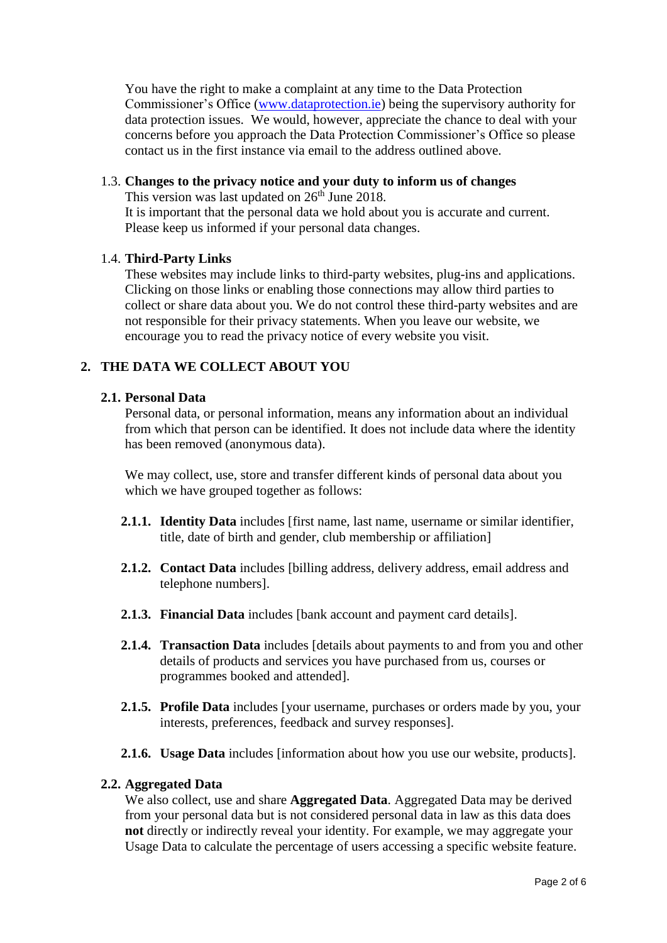You have the right to make a complaint at any time to the Data Protection Commissioner's Office [\(www.dataprotection.ie\)](http://www.dataprotection.ie/) being the supervisory authority for data protection issues. We would, however, appreciate the chance to deal with your concerns before you approach the Data Protection Commissioner's Office so please contact us in the first instance via email to the address outlined above.

### 1.3. **Changes to the privacy notice and your duty to inform us of changes**

This version was last updated on  $26<sup>th</sup>$  June 2018.

It is important that the personal data we hold about you is accurate and current. Please keep us informed if your personal data changes.

### 1.4. **Third-Party Links**

These websites may include links to third-party websites, plug-ins and applications. Clicking on those links or enabling those connections may allow third parties to collect or share data about you. We do not control these third-party websites and are not responsible for their privacy statements. When you leave our website, we encourage you to read the privacy notice of every website you visit.

## **2. THE DATA WE COLLECT ABOUT YOU**

### **2.1. Personal Data**

Personal data, or personal information, means any information about an individual from which that person can be identified. It does not include data where the identity has been removed (anonymous data).

We may collect, use, store and transfer different kinds of personal data about you which we have grouped together as follows:

- **2.1.1. Identity Data** includes [first name, last name, username or similar identifier, title, date of birth and gender, club membership or affiliation]
- **2.1.2. Contact Data** includes [billing address, delivery address, email address and telephone numbers].
- **2.1.3. Financial Data** includes [bank account and payment card details].
- **2.1.4. Transaction Data** includes [details about payments to and from you and other details of products and services you have purchased from us, courses or programmes booked and attended].
- **2.1.5. Profile Data** includes [your username, purchases or orders made by you, your interests, preferences, feedback and survey responses].
- **2.1.6. Usage Data** includes [information about how you use our website, products].

#### **2.2. Aggregated Data**

We also collect, use and share **Aggregated Data**. Aggregated Data may be derived from your personal data but is not considered personal data in law as this data does **not** directly or indirectly reveal your identity. For example, we may aggregate your Usage Data to calculate the percentage of users accessing a specific website feature.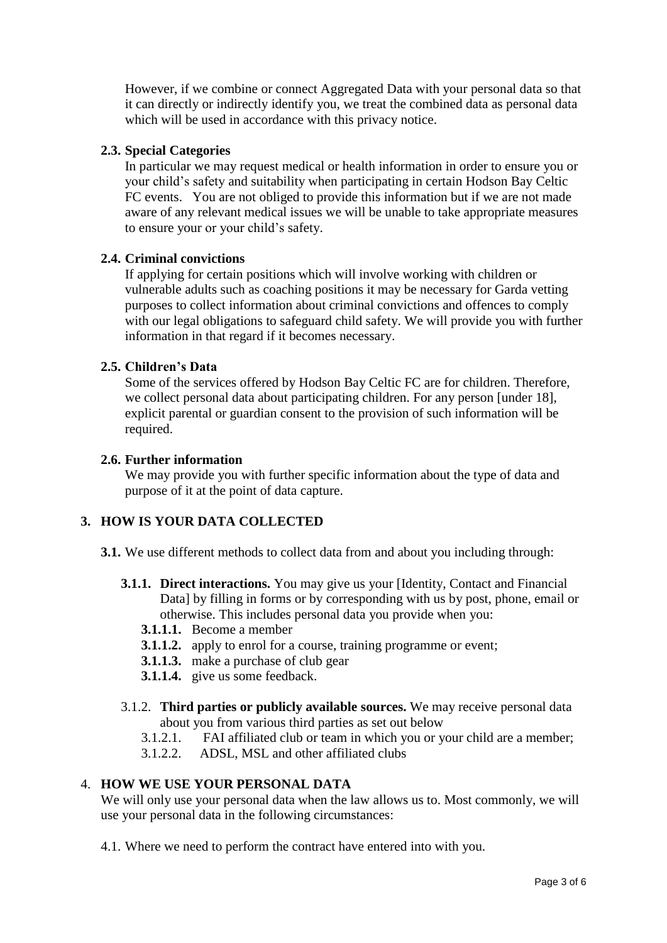However, if we combine or connect Aggregated Data with your personal data so that it can directly or indirectly identify you, we treat the combined data as personal data which will be used in accordance with this privacy notice.

### **2.3. Special Categories**

In particular we may request medical or health information in order to ensure you or your child's safety and suitability when participating in certain Hodson Bay Celtic FC events. You are not obliged to provide this information but if we are not made aware of any relevant medical issues we will be unable to take appropriate measures to ensure your or your child's safety.

#### **2.4. Criminal convictions**

If applying for certain positions which will involve working with children or vulnerable adults such as coaching positions it may be necessary for Garda vetting purposes to collect information about criminal convictions and offences to comply with our legal obligations to safeguard child safety. We will provide you with further information in that regard if it becomes necessary.

### **2.5. Children's Data**

Some of the services offered by Hodson Bay Celtic FC are for children. Therefore, we collect personal data about participating children. For any person [under 18], explicit parental or guardian consent to the provision of such information will be required.

#### **2.6. Further information**

We may provide you with further specific information about the type of data and purpose of it at the point of data capture.

## **3. HOW IS YOUR DATA COLLECTED**

**3.1.** We use different methods to collect data from and about you including through:

- **3.1.1. Direct interactions.** You may give us your [Identity, Contact and Financial Data] by filling in forms or by corresponding with us by post, phone, email or otherwise. This includes personal data you provide when you:
	- **3.1.1.1.** Become a member
	- **3.1.1.2.** apply to enrol for a course, training programme or event;
	- **3.1.1.3.** make a purchase of club gear
	- **3.1.1.4.** give us some feedback.
- 3.1.2. **Third parties or publicly available sources.** We may receive personal data about you from various third parties as set out below
	- 3.1.2.1. FAI affiliated club or team in which you or your child are a member;
	- 3.1.2.2. ADSL, MSL and other affiliated clubs

## 4. **HOW WE USE YOUR PERSONAL DATA**

We will only use your personal data when the law allows us to. Most commonly, we will use your personal data in the following circumstances:

4.1. Where we need to perform the contract have entered into with you.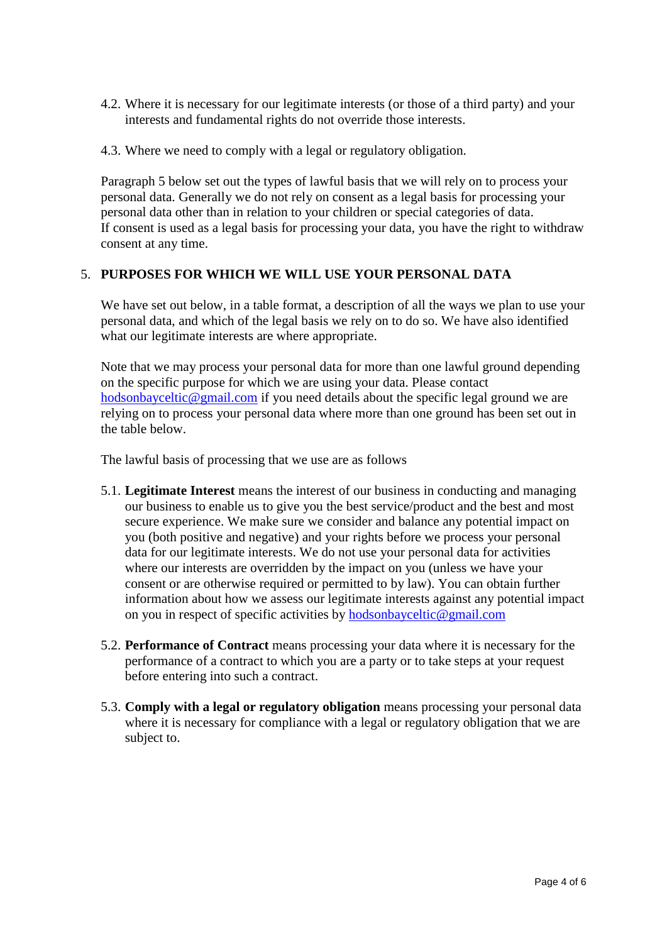- 4.2. Where it is necessary for our legitimate interests (or those of a third party) and your interests and fundamental rights do not override those interests.
- 4.3. Where we need to comply with a legal or regulatory obligation.

Paragraph 5 below set out the types of lawful basis that we will rely on to process your personal data. Generally we do not rely on consent as a legal basis for processing your personal data other than in relation to your children or special categories of data. If consent is used as a legal basis for processing your data, you have the right to withdraw consent at any time.

### 5. **PURPOSES FOR WHICH WE WILL USE YOUR PERSONAL DATA**

We have set out below, in a table format, a description of all the ways we plan to use your personal data, and which of the legal basis we rely on to do so. We have also identified what our legitimate interests are where appropriate.

Note that we may process your personal data for more than one lawful ground depending on the specific purpose for which we are using your data. Please contact [hodsonbayceltic@gmail.com](mailto:hodsonbayceltic@gmail.com) if you need details about the specific legal ground we are relying on to process your personal data where more than one ground has been set out in the table below.

The lawful basis of processing that we use are as follows

- 5.1. **Legitimate Interest** means the interest of our business in conducting and managing our business to enable us to give you the best service/product and the best and most secure experience. We make sure we consider and balance any potential impact on you (both positive and negative) and your rights before we process your personal data for our legitimate interests. We do not use your personal data for activities where our interests are overridden by the impact on you (unless we have your consent or are otherwise required or permitted to by law). You can obtain further information about how we assess our legitimate interests against any potential impact on you in respect of specific activities by [hodsonbayceltic@gmail.com](mailto:hodsonbayceltic@gmail.com)
- 5.2. **Performance of Contract** means processing your data where it is necessary for the performance of a contract to which you are a party or to take steps at your request before entering into such a contract.
- 5.3. **Comply with a legal or regulatory obligation** means processing your personal data where it is necessary for compliance with a legal or regulatory obligation that we are subject to.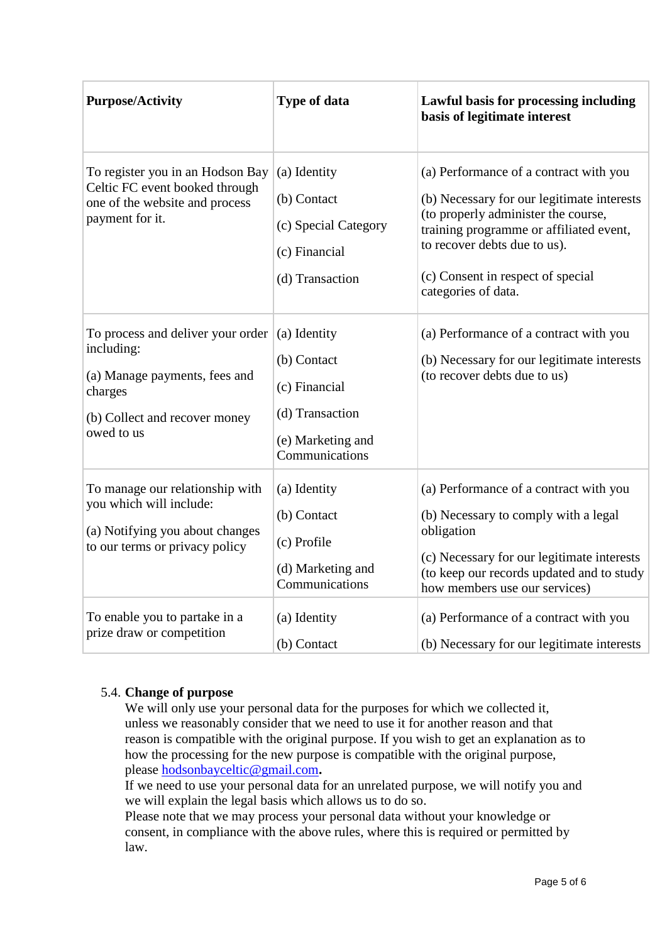| <b>Purpose/Activity</b>                                                                                                                    | Type of data                                                                                           | Lawful basis for processing including<br>basis of legitimate interest                                                                                                                                                                                              |
|--------------------------------------------------------------------------------------------------------------------------------------------|--------------------------------------------------------------------------------------------------------|--------------------------------------------------------------------------------------------------------------------------------------------------------------------------------------------------------------------------------------------------------------------|
| To register you in an Hodson Bay<br>Celtic FC event booked through<br>one of the website and process<br>payment for it.                    | (a) Identity<br>(b) Contact<br>(c) Special Category<br>(c) Financial<br>(d) Transaction                | (a) Performance of a contract with you<br>(b) Necessary for our legitimate interests<br>(to properly administer the course,<br>training programme or affiliated event,<br>to recover debts due to us).<br>(c) Consent in respect of special<br>categories of data. |
| To process and deliver your order<br>including:<br>(a) Manage payments, fees and<br>charges<br>(b) Collect and recover money<br>owed to us | (a) Identity<br>(b) Contact<br>(c) Financial<br>(d) Transaction<br>(e) Marketing and<br>Communications | (a) Performance of a contract with you<br>(b) Necessary for our legitimate interests<br>(to recover debts due to us)                                                                                                                                               |
| To manage our relationship with<br>you which will include:<br>(a) Notifying you about changes<br>to our terms or privacy policy            | (a) Identity<br>(b) Contact<br>(c) Profile<br>(d) Marketing and<br>Communications                      | (a) Performance of a contract with you<br>(b) Necessary to comply with a legal<br>obligation<br>(c) Necessary for our legitimate interests<br>(to keep our records updated and to study<br>how members use our services)                                           |
| To enable you to partake in a<br>prize draw or competition                                                                                 | (a) Identity<br>(b) Contact                                                                            | (a) Performance of a contract with you<br>(b) Necessary for our legitimate interests                                                                                                                                                                               |

## 5.4. **Change of purpose**

We will only use your personal data for the purposes for which we collected it, unless we reasonably consider that we need to use it for another reason and that reason is compatible with the original purpose. If you wish to get an explanation as to how the processing for the new purpose is compatible with the original purpose, please [hodsonbayceltic@gmail.com](mailto:hodsonbayceltic@gmail.com)**.**

If we need to use your personal data for an unrelated purpose, we will notify you and we will explain the legal basis which allows us to do so.

Please note that we may process your personal data without your knowledge or consent, in compliance with the above rules, where this is required or permitted by law.